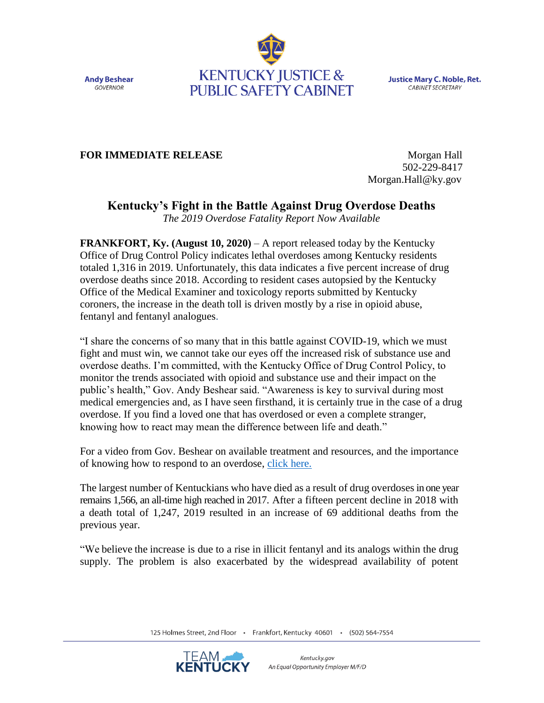**Andy Beshear GOVERNOR** 



**Justice Mary C. Noble, Ret.** CABINET SECRETARY

## **FOR IMMEDIATE RELEASE** Morgan Hall

 502-229-8417 Morgan.Hall@ky.gov

## **Kentucky's Fight in the Battle Against Drug Overdose Deaths**

*The 2019 Overdose Fatality Report Now Available*

**FRANKFORT, Ky. (August 10, 2020)** – A report released today by the Kentucky Office of Drug Control Policy indicates lethal overdoses among Kentucky residents totaled 1,316 in 2019. Unfortunately, this data indicates a five percent increase of drug overdose deaths since 2018. According to resident cases autopsied by the Kentucky Office of the Medical Examiner and toxicology reports submitted by Kentucky coroners, the increase in the death toll is driven mostly by a rise in opioid abuse, fentanyl and fentanyl analogues.

"I share the concerns of so many that in this battle against COVID-19, which we must fight and must win, we cannot take our eyes off the increased risk of substance use and overdose deaths. I'm committed, with the Kentucky Office of Drug Control Policy, to monitor the trends associated with opioid and substance use and their impact on the public's health," Gov. Andy Beshear said. "Awareness is key to survival during most medical emergencies and, as I have seen firsthand, it is certainly true in the case of a drug overdose. If you find a loved one that has overdosed or even a complete stranger, knowing how to react may mean the difference between life and death."

For a video from Gov. Beshear on available treatment and resources, and the importance of knowing how to respond to an overdose, [click here.](https://youtu.be/xas-55fQw8M)

The largest number of Kentuckians who have died as a result of drug overdoses in one year remains 1,566, an all-time high reached in 2017. After a fifteen percent decline in 2018 with a death total of 1,247, 2019 resulted in an increase of 69 additional deaths from the previous year.

"We believe the increase is due to a rise in illicit fentanyl and its analogs within the drug supply. The problem is also exacerbated by the widespread availability of potent

125 Holmes Street, 2nd Floor · Frankfort, Kentucky 40601 · (502) 564-7554

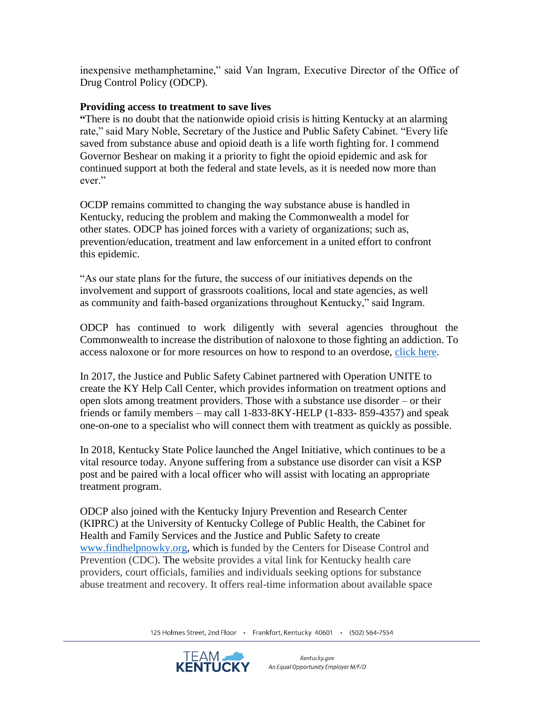inexpensive methamphetamine," said Van Ingram, Executive Director of the Office of Drug Control Policy (ODCP).

## **Providing access to treatment to save lives**

**"**There is no doubt that the nationwide opioid crisis is hitting Kentucky at an alarming rate," said Mary Noble, Secretary of the Justice and Public Safety Cabinet. "Every life saved from substance abuse and opioid death is a life worth fighting for. I commend Governor Beshear on making it a priority to fight the opioid epidemic and ask for continued support at both the federal and state levels, as it is needed now more than ever."

OCDP remains committed to changing the way substance abuse is handled in Kentucky, reducing the problem and making the Commonwealth a model for other states. ODCP has joined forces with a variety of organizations; such as, prevention/education, treatment and law enforcement in a united effort to confront this epidemic.

"As our state plans for the future, the success of our initiatives depends on the involvement and support of grassroots coalitions, local and state agencies, as well as community and faith-based organizations throughout Kentucky," said Ingram.

ODCP has continued to work diligently with several agencies throughout the Commonwealth to increase the distribution of naloxone to those fighting an addiction. To access naloxone or for more resources on how to respond to an overdose, [click here.](odcp.ky.gov)

In 2017, the Justice and Public Safety Cabinet partnered with Operation UNITE to create the KY Help Call Center, which provides information on treatment options and open slots among treatment providers. Those with a substance use disorder – or their friends or family members – may call 1-833-8KY-HELP (1-833- 859-4357) and speak one-on-one to a specialist who will connect them with treatment as quickly as possible.

In 2018, Kentucky State Police launched the Angel Initiative, which continues to be a vital resource today. Anyone suffering from a substance use disorder can visit a KSP post and be paired with a local officer who will assist with locating an appropriate treatment program.

ODCP also joined with the Kentucky Injury Prevention and Research Center (KIPRC) at the University of Kentucky College of Public Health, the Cabinet for Health and Family Services and the Justice and Public Safety to create [www.findhelpnowky.org,](http://www.findhelpnowky.org/) which is funded by the Centers for Disease Control and Prevention (CDC). The website provides a vital link for Kentucky health care providers, court officials, families and individuals seeking options for substance abuse treatment and recovery. It offers real-time information about available space

125 Holmes Street, 2nd Floor · Frankfort, Kentucky 40601 · (502) 564-7554